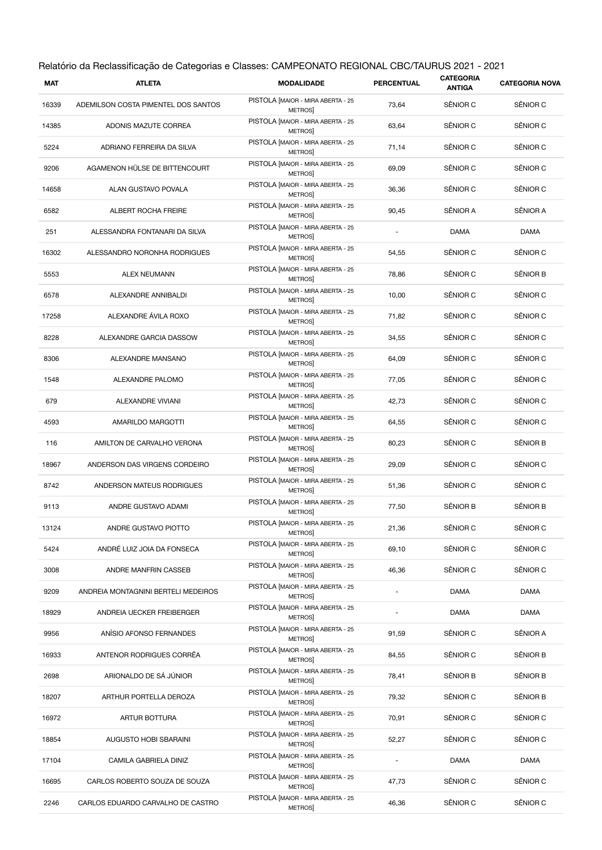| Relatório da Reclassificação de Categorias e Classes: CAMPEONATO REGIONAL CBC/TAURUS 2021 - 2021 |                                     |                                                    |                          |                            |                       |
|--------------------------------------------------------------------------------------------------|-------------------------------------|----------------------------------------------------|--------------------------|----------------------------|-----------------------|
| <b>MAT</b>                                                                                       | <b>ATLETA</b>                       | <b>MODALIDADE</b>                                  | <b>PERCENTUAL</b>        | <b>CATEGORIA</b><br>ANTIGA | <b>CATEGORIA NOVA</b> |
| 16339                                                                                            | ADEMILSON COSTA PIMENTEL DOS SANTOS | PISTOLA [MAIOR - MIRA ABERTA - 25<br>METROS        | 73,64                    | SÊNIOR C                   | SÊNIOR C              |
| 14385                                                                                            | ADONIS MAZUTE CORREA                | PISTOLA [MAIOR - MIRA ABERTA - 25<br>METROS        | 63,64                    | SÊNIOR C                   | SÊNIOR C              |
| 5224                                                                                             | ADRIANO FERREIRA DA SILVA           | PISTOLA [MAIOR - MIRA ABERTA - 25<br><b>METROS</b> | 71,14                    | SÊNIOR C                   | SÊNIOR C              |
| 9206                                                                                             | AGAMENON HÜLSE DE BITTENCOURT       | PISTOLA [MAIOR - MIRA ABERTA - 25<br><b>METROS</b> | 69,09                    | SÊNIOR C                   | SÊNIOR C              |
| 14658                                                                                            | ALAN GUSTAVO POVALA                 | PISTOLA [MAIOR - MIRA ABERTA - 25<br><b>METROS</b> | 36,36                    | SÊNIOR C                   | SÊNIOR C              |
| 6582                                                                                             | ALBERT ROCHA FREIRE                 | PISTOLA [MAIOR - MIRA ABERTA - 25<br><b>METROS</b> | 90,45                    | SÊNIOR A                   | SÊNIOR A              |
| 251                                                                                              | ALESSANDRA FONTANARI DA SILVA       | PISTOLA [MAIOR - MIRA ABERTA - 25<br><b>METROS</b> |                          | <b>DAMA</b>                | <b>DAMA</b>           |
| 16302                                                                                            | ALESSANDRO NORONHA RODRIGUES        | PISTOLA [MAIOR - MIRA ABERTA - 25<br><b>METROS</b> | 54,55                    | SÊNIOR C                   | SÊNIOR C              |
| 5553                                                                                             | <b>ALEX NEUMANN</b>                 | PISTOLA [MAIOR - MIRA ABERTA - 25<br><b>METROS</b> | 78,86                    | SÊNIOR C                   | SÊNIOR B              |
| 6578                                                                                             | ALEXANDRE ANNIBALDI                 | PISTOLA [MAIOR - MIRA ABERTA - 25<br><b>METROS</b> | 10,00                    | SÊNIOR C                   | SÊNIOR C              |
| 17258                                                                                            | ALEXANDRE ÁVILA ROXO                | PISTOLA [MAIOR - MIRA ABERTA - 25<br><b>METROS</b> | 71,82                    | SÊNIOR C                   | SÊNIOR C              |
| 8228                                                                                             | ALEXANDRE GARCIA DASSOW             | PISTOLA [MAIOR - MIRA ABERTA - 25<br><b>METROS</b> | 34,55                    | SÊNIOR C                   | SÊNIOR C              |
| 8306                                                                                             | ALEXANDRE MANSANO                   | PISTOLA [MAIOR - MIRA ABERTA - 25<br><b>METROS</b> | 64,09                    | SÊNIOR C                   | SÊNIOR C              |
| 1548                                                                                             | ALEXANDRE PALOMO                    | PISTOLA [MAIOR - MIRA ABERTA - 25<br><b>METROS</b> | 77,05                    | SÊNIOR C                   | SÊNIOR C              |
| 679                                                                                              | ALEXANDRE VIVIANI                   | PISTOLA [MAIOR - MIRA ABERTA - 25<br>METROS]       | 42,73                    | SÊNIOR C                   | SÊNIOR C              |
| 4593                                                                                             | AMARILDO MARGOTTI                   | PISTOLA [MAIOR - MIRA ABERTA - 25<br><b>METROS</b> | 64,55                    | SÊNIOR C                   | SÊNIOR C              |
| 116                                                                                              | AMILTON DE CARVALHO VERONA          | PISTOLA [MAIOR - MIRA ABERTA - 25<br>METROS]       | 80,23                    | SÊNIOR C                   | SÊNIOR B              |
| 18967                                                                                            | ANDERSON DAS VIRGENS CORDEIRO       | PISTOLA [MAIOR - MIRA ABERTA - 25<br>METROS]       | 29,09                    | SÊNIOR C                   | SÊNIOR C              |
| 8742                                                                                             | ANDERSON MATEUS RODRIGUES           | PISTOLA [MAIOR - MIRA ABERTA - 25<br>METROS]       | 51,36                    | SÊNIOR C                   | SÊNIOR C              |
| 9113                                                                                             | ANDRE GUSTAVO ADAMI                 | PISTOLA [MAIOR - MIRA ABERTA - 25<br>METROS]       | 77,50                    | SÊNIOR B                   | SÊNIOR B              |
| 13124                                                                                            | ANDRE GUSTAVO PIOTTO                | PISTOLA [MAIOR - MIRA ABERTA - 25<br>METROS]       | 21,36                    | SÊNIOR C                   | SÊNIOR C              |
| 5424                                                                                             | ANDRÉ LUIZ JOIA DA FONSECA          | PISTOLA [MAIOR - MIRA ABERTA - 25<br>METROS]       | 69,10                    | SÊNIOR C                   | SÊNIOR C              |
| 3008                                                                                             | ANDRE MANFRIN CASSEB                | PISTOLA [MAIOR - MIRA ABERTA - 25<br><b>METROS</b> | 46,36                    | SÊNIOR C                   | SÊNIOR C              |
| 9209                                                                                             | ANDREIA MONTAGNINI BERTELI MEDEIROS | PISTOLA [MAIOR - MIRA ABERTA - 25<br><b>METROS</b> |                          | <b>DAMA</b>                | <b>DAMA</b>           |
| 18929                                                                                            | ANDREIA UECKER FREIBERGER           | PISTOLA [MAIOR - MIRA ABERTA - 25<br>METROS]       | $\overline{\phantom{0}}$ | <b>DAMA</b>                | <b>DAMA</b>           |
| 9956                                                                                             | ANÍSIO AFONSO FERNANDES             | PISTOLA [MAIOR - MIRA ABERTA - 25<br>METROS]       | 91,59                    | SÊNIOR C                   | SÊNIOR A              |
| 16933                                                                                            | ANTENOR RODRIGUES CORRÊA            | PISTOLA [MAIOR - MIRA ABERTA - 25<br>METROS]       | 84,55                    | SÊNIOR C                   | SÊNIOR B              |
| 2698                                                                                             | ARIONALDO DE SÁ JÚNIOR              | PISTOLA [MAIOR - MIRA ABERTA - 25<br>METROS]       | 78,41                    | SÊNIOR B                   | SÊNIOR B              |
| 18207                                                                                            | ARTHUR PORTELLA DEROZA              | PISTOLA [MAIOR - MIRA ABERTA - 25<br>METROS]       | 79,32                    | SÊNIOR C                   | SÊNIOR B              |
| 16972                                                                                            | ARTUR BOTTURA                       | PISTOLA [MAIOR - MIRA ABERTA - 25<br>METROS]       | 70,91                    | SÊNIOR C                   | SÊNIOR C              |
| 18854                                                                                            | AUGUSTO HOBI SBARAINI               | PISTOLA [MAIOR - MIRA ABERTA - 25<br>METROS]       | 52,27                    | SÊNIOR C                   | SÊNIOR C              |
| 17104                                                                                            | CAMILA GABRIELA DINIZ               | PISTOLA [MAIOR - MIRA ABERTA - 25<br>METROS]       |                          | <b>DAMA</b>                | <b>DAMA</b>           |
| 16695                                                                                            | CARLOS ROBERTO SOUZA DE SOUZA       | PISTOLA [MAIOR - MIRA ABERTA - 25<br>METROS]       | 47,73                    | SÊNIOR C                   | SÊNIOR C              |
| 2246                                                                                             | CARLOS EDUARDO CARVALHO DE CASTRO   | PISTOLA [MAIOR - MIRA ABERTA - 25<br>METROS]       | 46,36                    | SÊNIOR C                   | SÊNIOR C              |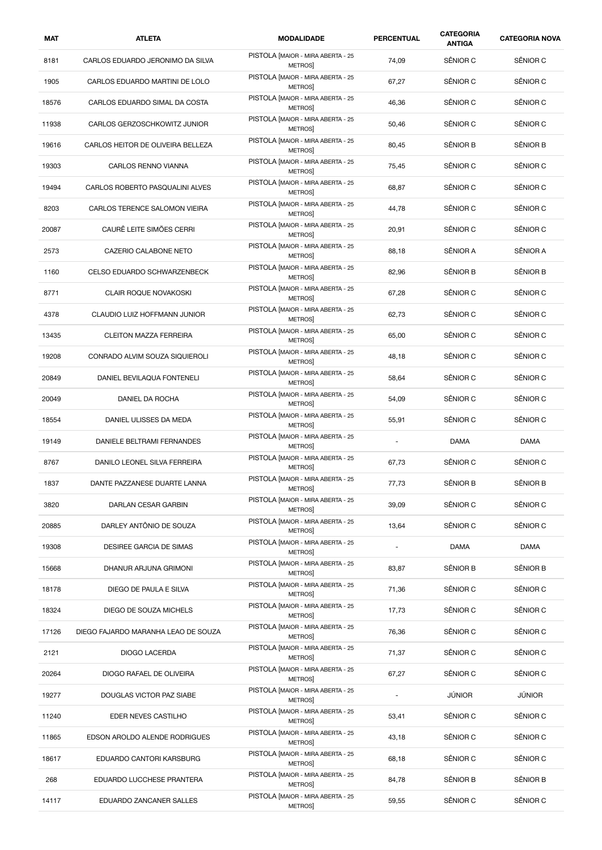| MAT   | <b>ATLETA</b>                       | <b>MODALIDADE</b>                                  | <b>PERCENTUAL</b>        | <b>CATEGORIA</b><br><b>ANTIGA</b> | <b>CATEGORIA NOVA</b> |
|-------|-------------------------------------|----------------------------------------------------|--------------------------|-----------------------------------|-----------------------|
| 8181  | CARLOS EDUARDO JERONIMO DA SILVA    | PISTOLA [MAIOR - MIRA ABERTA - 25<br><b>METROS</b> | 74,09                    | SÊNIOR C                          | SÊNIOR C              |
| 1905  | CARLOS EDUARDO MARTINI DE LOLO      | PISTOLA [MAIOR - MIRA ABERTA - 25<br><b>METROS</b> | 67,27                    | SÊNIOR C                          | SÊNIOR C              |
| 18576 | CARLOS EDUARDO SIMAL DA COSTA       | PISTOLA [MAIOR - MIRA ABERTA - 25<br><b>METROS</b> | 46,36                    | SÊNIOR C                          | SÊNIOR C              |
| 11938 | CARLOS GERZOSCHKOWITZ JUNIOR        | PISTOLA [MAIOR - MIRA ABERTA - 25<br><b>METROS</b> | 50,46                    | SÊNIOR C                          | SÊNIOR C              |
| 19616 | CARLOS HEITOR DE OLIVEIRA BELLEZA   | PISTOLA [MAIOR - MIRA ABERTA - 25<br><b>METROS</b> | 80,45                    | SÊNIOR B                          | SÊNIOR B              |
| 19303 | <b>CARLOS RENNO VIANNA</b>          | PISTOLA [MAIOR - MIRA ABERTA - 25<br><b>METROS</b> | 75,45                    | SÊNIOR C                          | SÊNIOR C              |
| 19494 | CARLOS ROBERTO PASQUALINI ALVES     | PISTOLA [MAIOR - MIRA ABERTA - 25<br><b>METROS</b> | 68,87                    | SÊNIOR C                          | SÊNIOR C              |
| 8203  | CARLOS TERENCE SALOMON VIEIRA       | PISTOLA [MAIOR - MIRA ABERTA - 25<br>METROS        | 44,78                    | SÊNIOR C                          | SÊNIOR C              |
| 20087 | CAURÊ LEITE SIMÕES CERRI            | PISTOLA [MAIOR - MIRA ABERTA - 25<br><b>METROS</b> | 20,91                    | SÊNIOR C                          | SÊNIOR C              |
| 2573  | CAZERIO CALABONE NETO               | PISTOLA [MAIOR - MIRA ABERTA - 25<br><b>METROS</b> | 88,18                    | SÊNIOR A                          | SÊNIOR A              |
| 1160  | CELSO EDUARDO SCHWARZENBECK         | PISTOLA [MAIOR - MIRA ABERTA - 25<br><b>METROS</b> | 82,96                    | SÊNIOR B                          | SÊNIOR B              |
| 8771  | <b>CLAIR ROQUE NOVAKOSKI</b>        | PISTOLA [MAIOR - MIRA ABERTA - 25<br>METROS        | 67,28                    | SÊNIOR C                          | SÊNIOR C              |
| 4378  | CLAUDIO LUIZ HOFFMANN JUNIOR        | PISTOLA [MAIOR - MIRA ABERTA - 25<br><b>METROS</b> | 62,73                    | SÊNIOR C                          | SÊNIOR C              |
| 13435 | <b>CLEITON MAZZA FERREIRA</b>       | PISTOLA [MAIOR - MIRA ABERTA - 25<br><b>METROS</b> | 65,00                    | SÊNIOR C                          | SÊNIOR C              |
| 19208 | CONRADO ALVIM SOUZA SIQUIEROLI      | PISTOLA [MAIOR - MIRA ABERTA - 25<br><b>METROS</b> | 48,18                    | SÊNIOR C                          | SÊNIOR C              |
| 20849 | DANIEL BEVILAQUA FONTENELI          | PISTOLA [MAIOR - MIRA ABERTA - 25<br>METROS        | 58,64                    | SÊNIOR C                          | SÊNIOR C              |
| 20049 | DANIEL DA ROCHA                     | PISTOLA [MAIOR - MIRA ABERTA - 25<br><b>METROS</b> | 54,09                    | SÊNIOR C                          | SÊNIOR C              |
| 18554 | DANIEL ULISSES DA MEDA              | PISTOLA [MAIOR - MIRA ABERTA - 25<br><b>METROS</b> | 55,91                    | SÊNIOR C                          | SÊNIOR C              |
| 19149 | DANIELE BELTRAMI FERNANDES          | PISTOLA [MAIOR - MIRA ABERTA - 25<br>METROS]       | $\overline{\phantom{a}}$ | <b>DAMA</b>                       | <b>DAMA</b>           |
| 8767  | DANILO LEONEL SILVA FERREIRA        | PISTOLA [MAIOR - MIRA ABERTA - 25<br>METROS        | 67,73                    | SÊNIOR C                          | SÊNIOR C              |
| 1837  | DANTE PAZZANESE DUARTE LANNA        | PISTOLA [MAIOR - MIRA ABERTA - 25<br><b>METROS</b> | 77,73                    | SENIOR B                          | <b>SENIOR B</b>       |
| 3820  | DARLAN CESAR GARBIN                 | PISTOLA [MAIOR - MIRA ABERTA - 25<br><b>METROS</b> | 39,09                    | SÊNIOR C                          | SÊNIOR C              |
| 20885 | DARLEY ANTÔNIO DE SOUZA             | PISTOLA [MAIOR - MIRA ABERTA - 25<br>METROS]       | 13,64                    | SÊNIOR C                          | SÊNIOR C              |
| 19308 | DESIREE GARCIA DE SIMAS             | PISTOLA [MAIOR - MIRA ABERTA - 25<br>METROS]       |                          | <b>DAMA</b>                       | <b>DAMA</b>           |
| 15668 | DHANUR ARJUNA GRIMONI               | PISTOLA [MAIOR - MIRA ABERTA - 25<br><b>METROS</b> | 83,87                    | SÊNIOR B                          | SÊNIOR B              |
| 18178 | DIEGO DE PAULA E SILVA              | PISTOLA [MAIOR - MIRA ABERTA - 25<br><b>METROS</b> | 71,36                    | SÊNIOR C                          | SÊNIOR C              |
| 18324 | DIEGO DE SOUZA MICHELS              | PISTOLA [MAIOR - MIRA ABERTA - 25<br><b>METROS</b> | 17,73                    | SÊNIOR C                          | SÊNIOR C              |
| 17126 | DIEGO FAJARDO MARANHA LEAO DE SOUZA | PISTOLA [MAIOR - MIRA ABERTA - 25<br>METROS]       | 76,36                    | SÊNIOR C                          | SÊNIOR C              |
| 2121  | DIOGO LACERDA                       | PISTOLA [MAIOR - MIRA ABERTA - 25<br>METROS        | 71,37                    | SÊNIOR C                          | SÊNIOR C              |
| 20264 | DIOGO RAFAEL DE OLIVEIRA            | PISTOLA [MAIOR - MIRA ABERTA - 25<br><b>METROS</b> | 67,27                    | SÊNIOR C                          | SÊNIOR C              |
| 19277 | DOUGLAS VICTOR PAZ SIABE            | PISTOLA [MAIOR - MIRA ABERTA - 25<br><b>METROS</b> |                          | JÚNIOR                            | JÚNIOR                |
| 11240 | EDER NEVES CASTILHO                 | PISTOLA [MAIOR - MIRA ABERTA - 25<br>METROS]       | 53,41                    | SÊNIOR C                          | SÊNIOR C              |
| 11865 | EDSON AROLDO ALENDE RODRIGUES       | PISTOLA [MAIOR - MIRA ABERTA - 25<br><b>METROS</b> | 43,18                    | SÊNIOR C                          | SÊNIOR C              |
| 18617 | EDUARDO CANTORI KARSBURG            | PISTOLA [MAIOR - MIRA ABERTA - 25<br><b>METROS</b> | 68,18                    | SÊNIOR C                          | SÊNIOR C              |
| 268   | EDUARDO LUCCHESE PRANTERA           | PISTOLA [MAIOR - MIRA ABERTA - 25<br><b>METROS</b> | 84,78                    | SÊNIOR B                          | SÊNIOR B              |
| 14117 | EDUARDO ZANCANER SALLES             | PISTOLA [MAIOR - MIRA ABERTA - 25<br>METROS]       | 59,55                    | SÊNIOR C                          | SÊNIOR C              |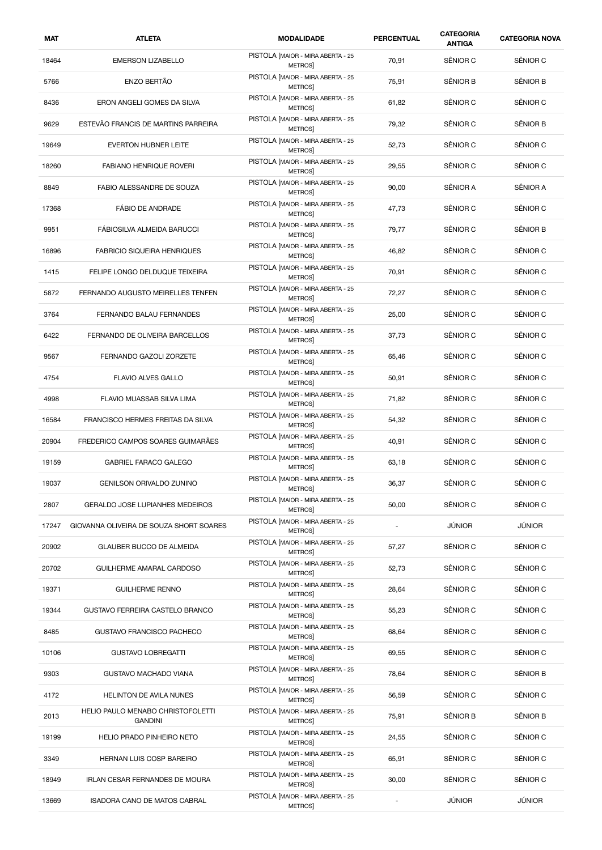| MAT   | <b>ATLETA</b>                                       | <b>MODALIDADE</b>                                  | <b>PERCENTUAL</b> | <b>CATEGORIA</b><br><b>ANTIGA</b> | <b>CATEGORIA NOVA</b> |
|-------|-----------------------------------------------------|----------------------------------------------------|-------------------|-----------------------------------|-----------------------|
| 18464 | <b>EMERSON LIZABELLO</b>                            | PISTOLA [MAIOR - MIRA ABERTA - 25<br><b>METROS</b> | 70,91             | SÊNIOR C                          | SÊNIOR C              |
| 5766  | ENZO BERTÃO                                         | PISTOLA [MAIOR - MIRA ABERTA - 25<br><b>METROS</b> | 75,91             | SÊNIOR B                          | SÊNIOR B              |
| 8436  | ERON ANGELI GOMES DA SILVA                          | PISTOLA [MAIOR - MIRA ABERTA - 25<br><b>METROS</b> | 61,82             | SÊNIOR C                          | SÊNIOR C              |
| 9629  | ESTEVÃO FRANCIS DE MARTINS PARREIRA                 | PISTOLA [MAIOR - MIRA ABERTA - 25<br><b>METROS</b> | 79,32             | SÊNIOR C                          | SÊNIOR B              |
| 19649 | <b>EVERTON HUBNER LEITE</b>                         | PISTOLA [MAIOR - MIRA ABERTA - 25<br><b>METROS</b> | 52,73             | SÊNIOR C                          | SÊNIOR C              |
| 18260 | <b>FABIANO HENRIQUE ROVERI</b>                      | PISTOLA [MAIOR - MIRA ABERTA - 25<br><b>METROS</b> | 29,55             | SÊNIOR C                          | SÊNIOR C              |
| 8849  | FABIO ALESSANDRE DE SOUZA                           | PISTOLA [MAIOR - MIRA ABERTA - 25<br><b>METROS</b> | 90,00             | SÊNIOR A                          | SÊNIOR A              |
| 17368 | <b>FÁBIO DE ANDRADE</b>                             | PISTOLA [MAIOR - MIRA ABERTA - 25<br>METROS        | 47,73             | SÊNIOR C                          | SÊNIOR C              |
| 9951  | FÁBIOSILVA ALMEIDA BARUCCI                          | PISTOLA [MAIOR - MIRA ABERTA - 25<br><b>METROS</b> | 79,77             | SÊNIOR C                          | SÊNIOR B              |
| 16896 | FABRICIO SIQUEIRA HENRIQUES                         | PISTOLA [MAIOR - MIRA ABERTA - 25<br><b>METROS</b> | 46,82             | SÊNIOR C                          | SÊNIOR C              |
| 1415  | FELIPE LONGO DELDUQUE TEIXEIRA                      | PISTOLA [MAIOR - MIRA ABERTA - 25<br><b>METROS</b> | 70,91             | SÊNIOR C                          | SÊNIOR C              |
| 5872  | FERNANDO AUGUSTO MEIRELLES TENFEN                   | PISTOLA [MAIOR - MIRA ABERTA - 25<br>METROS        | 72,27             | SÊNIOR C                          | SÊNIOR C              |
| 3764  | FERNANDO BALAU FERNANDES                            | PISTOLA [MAIOR - MIRA ABERTA - 25<br><b>METROS</b> | 25,00             | SÊNIOR C                          | SÊNIOR C              |
| 6422  | FERNANDO DE OLIVEIRA BARCELLOS                      | PISTOLA [MAIOR - MIRA ABERTA - 25<br><b>METROS</b> | 37,73             | SÊNIOR C                          | SÊNIOR C              |
| 9567  | FERNANDO GAZOLI ZORZETE                             | PISTOLA [MAIOR - MIRA ABERTA - 25<br><b>METROS</b> | 65,46             | SÊNIOR C                          | SÊNIOR C              |
| 4754  | <b>FLAVIO ALVES GALLO</b>                           | PISTOLA [MAIOR - MIRA ABERTA - 25<br><b>METROS</b> | 50,91             | SÊNIOR C                          | SÊNIOR C              |
| 4998  | FLAVIO MUASSAB SILVA LIMA                           | PISTOLA [MAIOR - MIRA ABERTA - 25<br><b>METROS</b> | 71,82             | SÊNIOR C                          | SÊNIOR C              |
| 16584 | FRANCISCO HERMES FREITAS DA SILVA                   | PISTOLA [MAIOR - MIRA ABERTA - 25<br><b>METROS</b> | 54,32             | SÊNIOR C                          | SÊNIOR C              |
| 20904 | FREDERICO CAMPOS SOARES GUIMARÃES                   | PISTOLA [MAIOR - MIRA ABERTA - 25<br>METROS]       | 40,91             | SÊNIOR C                          | SÊNIOR C              |
| 19159 | <b>GABRIEL FARACO GALEGO</b>                        | PISTOLA [MAIOR - MIRA ABERTA - 25<br>METROS        | 63,18             | SÊNIOR C                          | SÊNIOR C              |
| 19037 | <b>GENILSON ORIVALDO ZUNINO</b>                     | PISTOLA [MAIOR - MIRA ABERTA - 25<br><b>METROS</b> | 36,37             | SÊNIOR C                          | SENIOR C              |
| 2807  | GERALDO JOSE LUPIANHES MEDEIROS                     | PISTOLA [MAIOR - MIRA ABERTA - 25<br><b>METROS</b> | 50,00             | SÊNIOR C                          | SÊNIOR C              |
| 17247 | GIOVANNA OLIVEIRA DE SOUZA SHORT SOARES             | PISTOLA [MAIOR - MIRA ABERTA - 25<br>METROS]       | ÷,                | JÚNIOR                            | JÚNIOR                |
| 20902 | <b>GLAUBER BUCCO DE ALMEIDA</b>                     | PISTOLA [MAIOR - MIRA ABERTA - 25<br>METROS]       | 57,27             | SÊNIOR C                          | SÊNIOR C              |
| 20702 | GUILHERME AMARAL CARDOSO                            | PISTOLA [MAIOR - MIRA ABERTA - 25<br><b>METROS</b> | 52,73             | SÊNIOR C                          | SÊNIOR C              |
| 19371 | <b>GUILHERME RENNO</b>                              | PISTOLA [MAIOR - MIRA ABERTA - 25<br><b>METROS</b> | 28,64             | SÊNIOR C                          | SÊNIOR C              |
| 19344 | <b>GUSTAVO FERREIRA CASTELO BRANCO</b>              | PISTOLA [MAIOR - MIRA ABERTA - 25<br><b>METROS</b> | 55,23             | SÊNIOR C                          | SÊNIOR C              |
| 8485  | GUSTAVO FRANCISCO PACHECO                           | PISTOLA [MAIOR - MIRA ABERTA - 25<br><b>METROS</b> | 68,64             | SÊNIOR C                          | SÊNIOR C              |
| 10106 | <b>GUSTAVO LOBREGATTI</b>                           | PISTOLA [MAIOR - MIRA ABERTA - 25<br>METROS        | 69,55             | SÊNIOR C                          | SÊNIOR C              |
| 9303  | <b>GUSTAVO MACHADO VIANA</b>                        | PISTOLA [MAIOR - MIRA ABERTA - 25<br><b>METROS</b> | 78,64             | SÊNIOR C                          | SÊNIOR B              |
| 4172  | <b>HELINTON DE AVILA NUNES</b>                      | PISTOLA [MAIOR - MIRA ABERTA - 25<br><b>METROS</b> | 56,59             | SÊNIOR C                          | SÊNIOR C              |
| 2013  | HELIO PAULO MENABO CHRISTOFOLETTI<br><b>GANDINI</b> | PISTOLA [MAIOR - MIRA ABERTA - 25<br>METROS]       | 75,91             | SÊNIOR B                          | SÊNIOR B              |
| 19199 | HELIO PRADO PINHEIRO NETO                           | PISTOLA [MAIOR - MIRA ABERTA - 25<br>METROS        | 24,55             | SÊNIOR C                          | SÊNIOR C              |
| 3349  | HERNAN LUIS COSP BAREIRO                            | PISTOLA [MAIOR - MIRA ABERTA - 25<br><b>METROS</b> | 65,91             | SÊNIOR C                          | SÊNIOR C              |
| 18949 | IRLAN CESAR FERNANDES DE MOURA                      | PISTOLA [MAIOR - MIRA ABERTA - 25<br><b>METROS</b> | 30,00             | SÊNIOR C                          | SÊNIOR C              |
| 13669 | ISADORA CANO DE MATOS CABRAL                        | PISTOLA [MAIOR - MIRA ABERTA - 25<br>METROS]       | ÷,                | <b>JÚNIOR</b>                     | JÚNIOR                |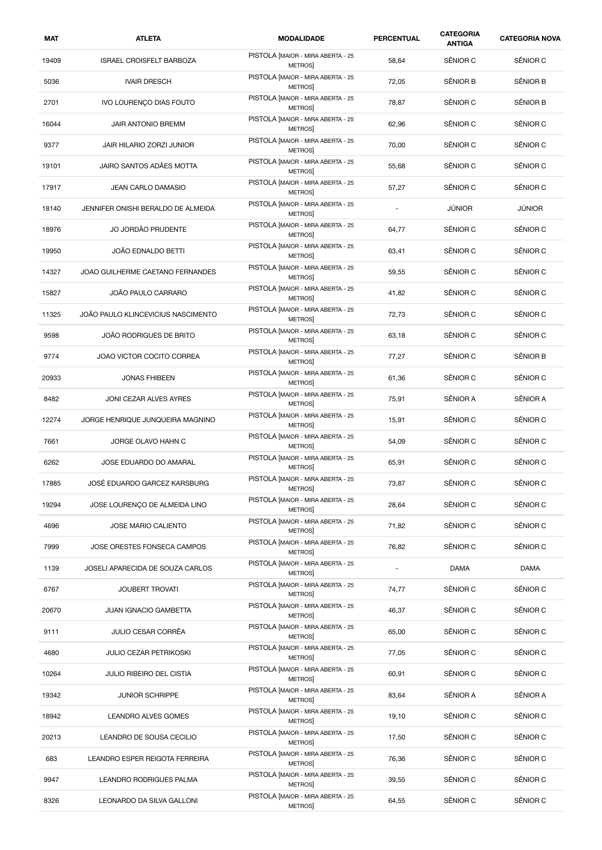| MAT   | <b>ATLETA</b>                      | <b>MODALIDADE</b>                                  | <b>PERCENTUAL</b> | <b>CATEGORIA</b><br><b>ANTIGA</b> | <b>CATEGORIA NOVA</b> |
|-------|------------------------------------|----------------------------------------------------|-------------------|-----------------------------------|-----------------------|
| 19409 | <b>ISRAEL CROISFELT BARBOZA</b>    | PISTOLA [MAIOR - MIRA ABERTA - 25<br><b>METROS</b> | 58,64             | SÊNIOR C                          | SÊNIOR C              |
| 5036  | <b>IVAIR DRESCH</b>                | PISTOLA [MAIOR - MIRA ABERTA - 25<br><b>METROS</b> | 72,05             | SÊNIOR B                          | SÊNIOR B              |
| 2701  | IVO LOURENÇO DIAS FOUTO            | PISTOLA [MAIOR - MIRA ABERTA - 25<br><b>METROS</b> | 78,87             | SÊNIOR C                          | SÊNIOR B              |
| 16044 | JAIR ANTONIO BREMM                 | PISTOLA [MAIOR - MIRA ABERTA - 25<br><b>METROS</b> | 62,96             | SÊNIOR C                          | SÊNIOR C              |
| 9377  | JAIR HILARIO ZORZI JUNIOR          | PISTOLA [MAIOR - MIRA ABERTA - 25<br><b>METROS</b> | 70,00             | SÊNIOR C                          | SÊNIOR C              |
| 19101 | JAIRO SANTOS ADÂES MOTTA           | PISTOLA [MAIOR - MIRA ABERTA - 25<br><b>METROS</b> | 55,68             | SÊNIOR C                          | SÊNIOR C              |
| 17917 | JEAN CARLO DAMASIO                 | PISTOLA [MAIOR - MIRA ABERTA - 25<br><b>METROS</b> | 57,27             | SÊNIOR C                          | SÊNIOR C              |
| 18140 | JENNIFER ONISHI BERALDO DE ALMEIDA | PISTOLA [MAIOR - MIRA ABERTA - 25<br>METROS        | ÷,                | <b>JÚNIOR</b>                     | <b>JÚNIOR</b>         |
| 18976 | JO JORDÃO PRUDENTE                 | PISTOLA [MAIOR - MIRA ABERTA - 25<br><b>METROS</b> | 64,77             | SÊNIOR C                          | SÊNIOR C              |
| 19950 | JOÃO EDNALDO BETTI                 | PISTOLA [MAIOR - MIRA ABERTA - 25<br><b>METROS</b> | 63,41             | SÊNIOR C                          | SÊNIOR C              |
| 14327 | JOAO GUILHERME CAETANO FERNANDES   | PISTOLA [MAIOR - MIRA ABERTA - 25<br><b>METROS</b> | 59,55             | SÊNIOR C                          | SÊNIOR C              |
| 15827 | JOÃO PAULO CARRARO                 | PISTOLA [MAIOR - MIRA ABERTA - 25<br><b>METROS</b> | 41,82             | SÊNIOR C                          | SÊNIOR C              |
| 11325 | JOÃO PAULO KLINCEVICIUS NASCIMENTO | PISTOLA [MAIOR - MIRA ABERTA - 25<br><b>METROS</b> | 72,73             | SÊNIOR C                          | SÊNIOR C              |
| 9598  | JOÃO RODRIGUES DE BRITO            | PISTOLA [MAIOR - MIRA ABERTA - 25<br><b>METROS</b> | 63,18             | SÊNIOR C                          | SÊNIOR C              |
| 9774  | JOAO VICTOR COCITO CORREA          | PISTOLA [MAIOR - MIRA ABERTA - 25<br>METROS]       | 77,27             | SÊNIOR C                          | SÊNIOR B              |
| 20933 | <b>JONAS FHIBEEN</b>               | PISTOLA [MAIOR - MIRA ABERTA - 25<br><b>METROS</b> | 61,36             | SÊNIOR C                          | SÊNIOR C              |
| 8482  | JONI CEZAR ALVES AYRES             | PISTOLA [MAIOR - MIRA ABERTA - 25<br><b>METROS</b> | 75,91             | SÊNIOR A                          | SÊNIOR A              |
| 12274 | JORGE HENRIQUE JUNQUEIRA MAGNINO   | PISTOLA [MAIOR - MIRA ABERTA - 25<br><b>METROS</b> | 15,91             | SÊNIOR C                          | SÊNIOR C              |
| 7661  | JORGE OLAVO HAHN C                 | PISTOLA [MAIOR - MIRA ABERTA - 25<br>METROS]       | 54,09             | SÊNIOR C                          | SÊNIOR C              |
| 6262  | JOSE EDUARDO DO AMARAL             | PISTOLA [MAIOR - MIRA ABERTA - 25<br><b>METROS</b> | 65,91             | SÊNIOR C                          | SÊNIOR C              |
| 17885 | JOSE EDUARDO GARCEZ KARSBURG       | PISTOLA [MAIOR - MIRA ABERTA - 25<br><b>METROS</b> | 73,87             | SENIOR C                          | SENIOR C              |
| 19294 | JOSE LOURENÇO DE ALMEIDA LINO      | PISTOLA [MAIOR - MIRA ABERTA - 25<br><b>METROS</b> | 28,64             | SÊNIOR C                          | SÊNIOR C              |
| 4696  | JOSE MARIO CALIENTO                | PISTOLA [MAIOR - MIRA ABERTA - 25<br>METROS]       | 71,82             | SÊNIOR C                          | SÊNIOR C              |
| 7999  | JOSE ORESTES FONSECA CAMPOS        | PISTOLA [MAIOR - MIRA ABERTA - 25<br>METROS]       | 76,82             | SÊNIOR C                          | SÊNIOR C              |
| 1139  | JOSELI APARECIDA DE SOUZA CARLOS   | PISTOLA [MAIOR - MIRA ABERTA - 25<br><b>METROS</b> |                   | <b>DAMA</b>                       | DAMA                  |
| 6767  | <b>JOUBERT TROVATI</b>             | PISTOLA [MAIOR - MIRA ABERTA - 25<br><b>METROS</b> | 74,77             | SÊNIOR C                          | SÊNIOR C              |
| 20670 | JUAN IGNACIO GAMBETTA              | PISTOLA [MAIOR - MIRA ABERTA - 25<br><b>METROS</b> | 46,37             | SÊNIOR C                          | SÊNIOR C              |
| 9111  | <b>JULIO CESAR CORRÊA</b>          | PISTOLA [MAIOR - MIRA ABERTA - 25<br>METROS]       | 65,00             | SÊNIOR C                          | SÊNIOR C              |
| 4680  | <b>JULIO CEZAR PETRIKOSKI</b>      | PISTOLA [MAIOR - MIRA ABERTA - 25<br>METROS        | 77,05             | SÊNIOR C                          | SÊNIOR C              |
| 10264 | <b>JULIO RIBEIRO DEL CISTIA</b>    | PISTOLA [MAIOR - MIRA ABERTA - 25<br><b>METROS</b> | 60,91             | SÊNIOR C                          | SÊNIOR C              |
| 19342 | <b>JUNIOR SCHRIPPE</b>             | PISTOLA [MAIOR - MIRA ABERTA - 25<br><b>METROS</b> | 83,64             | SÊNIOR A                          | SÊNIOR A              |
| 18942 | LEANDRO ALVES GOMES                | PISTOLA [MAIOR - MIRA ABERTA - 25<br>METROS]       | 19,10             | SÊNIOR C                          | SÊNIOR C              |
| 20213 | LEANDRO DE SOUSA CECILIO           | PISTOLA [MAIOR - MIRA ABERTA - 25<br><b>METROS</b> | 17,50             | SÊNIOR C                          | SÊNIOR C              |
| 683   | LEANDRO ESPER REIGOTA FERREIRA     | PISTOLA [MAIOR - MIRA ABERTA - 25<br><b>METROS</b> | 76,36             | SÊNIOR C                          | SÊNIOR C              |
| 9947  | LEANDRO RODRIGUES PALMA            | PISTOLA [MAIOR - MIRA ABERTA - 25<br><b>METROS</b> | 39,55             | SÊNIOR C                          | SÊNIOR C              |
| 8326  | LEONARDO DA SILVA GALLONI          | PISTOLA [MAIOR - MIRA ABERTA - 25<br>METROS]       | 64,55             | SÊNIOR C                          | SÊNIOR C              |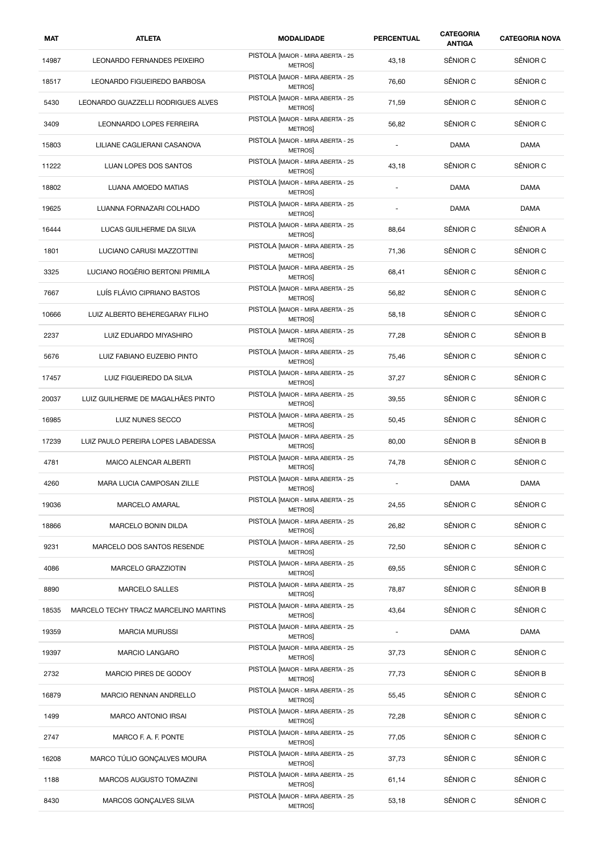| MAT   | <b>ATLETA</b>                         | <b>MODALIDADE</b>                                  | <b>PERCENTUAL</b>        | <b>CATEGORIA</b><br><b>ANTIGA</b> | <b>CATEGORIA NOVA</b> |
|-------|---------------------------------------|----------------------------------------------------|--------------------------|-----------------------------------|-----------------------|
| 14987 | <b>LEONARDO FERNANDES PEIXEIRO</b>    | PISTOLA [MAIOR - MIRA ABERTA - 25<br><b>METROS</b> | 43,18                    | SÊNIOR C                          | SÊNIOR C              |
| 18517 | LEONARDO FIGUEIREDO BARBOSA           | PISTOLA [MAIOR - MIRA ABERTA - 25<br><b>METROS</b> | 76,60                    | SÊNIOR C                          | SÊNIOR C              |
| 5430  | LEONARDO GUAZZELLI RODRIGUES ALVES    | PISTOLA [MAIOR - MIRA ABERTA - 25<br><b>METROS</b> | 71,59                    | SÊNIOR C                          | SÊNIOR C              |
| 3409  | LEONNARDO LOPES FERREIRA              | PISTOLA [MAIOR - MIRA ABERTA - 25<br><b>METROS</b> | 56,82                    | SÊNIOR C                          | SÊNIOR C              |
| 15803 | LILIANE CAGLIERANI CASANOVA           | PISTOLA [MAIOR - MIRA ABERTA - 25<br><b>METROS</b> | ÷,                       | <b>DAMA</b>                       | <b>DAMA</b>           |
| 11222 | <b>LUAN LOPES DOS SANTOS</b>          | PISTOLA [MAIOR - MIRA ABERTA - 25<br><b>METROS</b> | 43,18                    | SÊNIOR C                          | SÊNIOR C              |
| 18802 | LUANA AMOEDO MATIAS                   | PISTOLA [MAIOR - MIRA ABERTA - 25<br><b>METROS</b> | $\overline{\phantom{a}}$ | <b>DAMA</b>                       | <b>DAMA</b>           |
| 19625 | LUANNA FORNAZARI COLHADO              | PISTOLA [MAIOR - MIRA ABERTA - 25<br>METROS        | $\overline{\phantom{a}}$ | <b>DAMA</b>                       | <b>DAMA</b>           |
| 16444 | LUCAS GUILHERME DA SILVA              | PISTOLA [MAIOR - MIRA ABERTA - 25<br><b>METROS</b> | 88,64                    | SÊNIOR C                          | SÊNIOR A              |
| 1801  | LUCIANO CARUSI MAZZOTTINI             | PISTOLA [MAIOR - MIRA ABERTA - 25<br><b>METROS</b> | 71,36                    | SÊNIOR C                          | SÊNIOR C              |
| 3325  | LUCIANO ROGÉRIO BERTONI PRIMILA       | PISTOLA [MAIOR - MIRA ABERTA - 25<br><b>METROS</b> | 68,41                    | SÊNIOR C                          | SÊNIOR C              |
| 7667  | LUÍS FLÁVIO CIPRIANO BASTOS           | PISTOLA [MAIOR - MIRA ABERTA - 25<br><b>METROS</b> | 56,82                    | SÊNIOR C                          | SÊNIOR C              |
| 10666 | LUIZ ALBERTO BEHEREGARAY FILHO        | PISTOLA [MAIOR - MIRA ABERTA - 25<br><b>METROS</b> | 58,18                    | SÊNIOR C                          | SÊNIOR C              |
| 2237  | LUIZ EDUARDO MIYASHIRO                | PISTOLA [MAIOR - MIRA ABERTA - 25<br><b>METROS</b> | 77,28                    | SÊNIOR C                          | SÊNIOR B              |
| 5676  | LUIZ FABIANO EUZEBIO PINTO            | PISTOLA [MAIOR - MIRA ABERTA - 25<br>METROS]       | 75,46                    | SÊNIOR C                          | SÊNIOR C              |
| 17457 | LUIZ FIGUEIREDO DA SILVA              | PISTOLA [MAIOR - MIRA ABERTA - 25<br><b>METROS</b> | 37,27                    | SÊNIOR C                          | SÊNIOR C              |
| 20037 | LUIZ GUILHERME DE MAGALHÃES PINTO     | PISTOLA [MAIOR - MIRA ABERTA - 25<br><b>METROS</b> | 39,55                    | SÊNIOR C                          | SÊNIOR C              |
| 16985 | LUIZ NUNES SECCO                      | PISTOLA [MAIOR - MIRA ABERTA - 25<br><b>METROS</b> | 50,45                    | SÊNIOR C                          | SÊNIOR C              |
| 17239 | LUIZ PAULO PEREIRA LOPES LABADESSA    | PISTOLA [MAIOR - MIRA ABERTA - 25<br>METROS]       | 80,00                    | SÊNIOR B                          | SÊNIOR B              |
| 4781  | MAICO ALENCAR ALBERTI                 | PISTOLA [MAIOR - MIRA ABERTA - 25<br>METROS        | 74,78                    | SÊNIOR C                          | SÊNIOR C              |
| 4260  | MARA LUCIA CAMPOSAN ZILLE             | PISTOLA [MAIOR - MIRA ABERTA - 25<br><b>METROS</b> |                          | DAMA                              | <b>DAMA</b>           |
| 19036 | MARCELO AMARAL                        | PISTOLA [MAIOR - MIRA ABERTA - 25<br><b>METROS</b> | 24,55                    | SÊNIOR C                          | SÊNIOR C              |
| 18866 | MARCELO BONIN DILDA                   | PISTOLA [MAIOR - MIRA ABERTA - 25<br>METROS]       | 26,82                    | SÊNIOR C                          | SÊNIOR C              |
| 9231  | MARCELO DOS SANTOS RESENDE            | PISTOLA [MAIOR - MIRA ABERTA - 25<br>METROS]       | 72,50                    | SÊNIOR C                          | SÊNIOR C              |
| 4086  | MARCELO GRAZZIOTIN                    | PISTOLA [MAIOR - MIRA ABERTA - 25<br><b>METROS</b> | 69,55                    | SÊNIOR C                          | SÊNIOR C              |
| 8890  | MARCELO SALLES                        | PISTOLA [MAIOR - MIRA ABERTA - 25<br><b>METROS</b> | 78,87                    | SÊNIOR C                          | SÊNIOR B              |
| 18535 | MARCELO TECHY TRACZ MARCELINO MARTINS | PISTOLA [MAIOR - MIRA ABERTA - 25<br><b>METROS</b> | 43,64                    | SÊNIOR C                          | SÊNIOR C              |
| 19359 | <b>MARCIA MURUSSI</b>                 | PISTOLA [MAIOR - MIRA ABERTA - 25<br>METROS]       |                          | <b>DAMA</b>                       | <b>DAMA</b>           |
| 19397 | <b>MARCIO LANGARO</b>                 | PISTOLA [MAIOR - MIRA ABERTA - 25<br>METROS        | 37,73                    | SÊNIOR C                          | SÊNIOR C              |
| 2732  | MARCIO PIRES DE GODOY                 | PISTOLA [MAIOR - MIRA ABERTA - 25<br><b>METROS</b> | 77,73                    | SÊNIOR C                          | SÊNIOR B              |
| 16879 | MARCIO RENNAN ANDRELLO                | PISTOLA [MAIOR - MIRA ABERTA - 25<br><b>METROS</b> | 55,45                    | SÊNIOR C                          | SÊNIOR C              |
| 1499  | <b>MARCO ANTONIO IRSAI</b>            | PISTOLA [MAIOR - MIRA ABERTA - 25<br>METROS]       | 72,28                    | SÊNIOR C                          | SÊNIOR C              |
| 2747  | MARCO F. A. F. PONTE                  | PISTOLA [MAIOR - MIRA ABERTA - 25<br><b>METROS</b> | 77,05                    | SÊNIOR C                          | SÊNIOR C              |
| 16208 | MARCO TÚLIO GONÇALVES MOURA           | PISTOLA [MAIOR - MIRA ABERTA - 25<br><b>METROS</b> | 37,73                    | SÊNIOR C                          | SÊNIOR C              |
| 1188  | MARCOS AUGUSTO TOMAZINI               | PISTOLA [MAIOR - MIRA ABERTA - 25<br><b>METROS</b> | 61,14                    | SÊNIOR C                          | SÊNIOR C              |
| 8430  | MARCOS GONÇALVES SILVA                | PISTOLA [MAIOR - MIRA ABERTA - 25<br>METROS]       | 53,18                    | SÊNIOR C                          | SÊNIOR C              |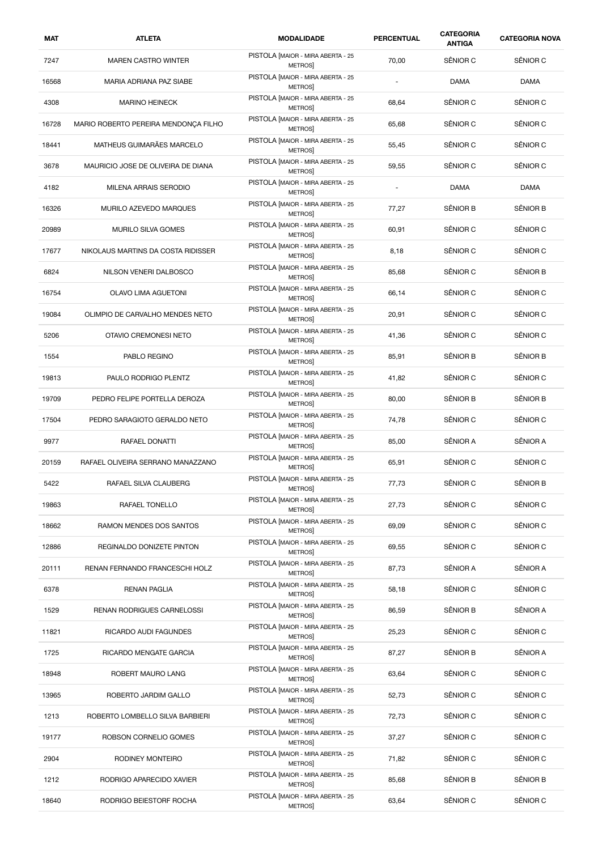| <b>MAT</b> | <b>ATLETA</b>                        | <b>MODALIDADE</b>                                  | <b>PERCENTUAL</b>        | <b>CATEGORIA</b><br><b>ANTIGA</b> | <b>CATEGORIA NOVA</b> |
|------------|--------------------------------------|----------------------------------------------------|--------------------------|-----------------------------------|-----------------------|
| 7247       | <b>MAREN CASTRO WINTER</b>           | PISTOLA [MAIOR - MIRA ABERTA - 25<br><b>METROS</b> | 70,00                    | SÊNIOR C                          | SÊNIOR C              |
| 16568      | MARIA ADRIANA PAZ SIABE              | PISTOLA [MAIOR - MIRA ABERTA - 25<br><b>METROS</b> | $\overline{\phantom{a}}$ | <b>DAMA</b>                       | <b>DAMA</b>           |
| 4308       | <b>MARINO HEINECK</b>                | PISTOLA [MAIOR - MIRA ABERTA - 25<br>METROS]       | 68,64                    | SÊNIOR C                          | SÊNIOR C              |
| 16728      | MARIO ROBERTO PEREIRA MENDONÇA FILHO | PISTOLA [MAIOR - MIRA ABERTA - 25<br><b>METROS</b> | 65,68                    | SÊNIOR C                          | SÊNIOR C              |
| 18441      | MATHEUS GUIMARÃES MARCELO            | PISTOLA [MAIOR - MIRA ABERTA - 25<br>METROS        | 55,45                    | SÊNIOR C                          | SÊNIOR C              |
| 3678       | MAURICIO JOSE DE OLIVEIRA DE DIANA   | PISTOLA [MAIOR - MIRA ABERTA - 25<br><b>METROS</b> | 59,55                    | SÊNIOR C                          | SÊNIOR C              |
| 4182       | MILENA ARRAIS SERODIO                | PISTOLA [MAIOR - MIRA ABERTA - 25<br>METROS        | $\overline{\phantom{a}}$ | <b>DAMA</b>                       | <b>DAMA</b>           |
| 16326      | MURILO AZEVEDO MARQUES               | PISTOLA [MAIOR - MIRA ABERTA - 25<br>METROS        | 77,27                    | SÊNIOR B                          | SÊNIOR B              |
| 20989      | MURILO SILVA GOMES                   | PISTOLA [MAIOR - MIRA ABERTA - 25<br>METROS        | 60,91                    | SÊNIOR C                          | SÊNIOR C              |
| 17677      | NIKOLAUS MARTINS DA COSTA RIDISSER   | PISTOLA [MAIOR - MIRA ABERTA - 25<br><b>METROS</b> | 8,18                     | SÊNIOR C                          | SÊNIOR C              |
| 6824       | NILSON VENERI DALBOSCO               | PISTOLA [MAIOR - MIRA ABERTA - 25<br>METROS]       | 85,68                    | SÊNIOR C                          | SÊNIOR B              |
| 16754      | <b>OLAVO LIMA AGUETONI</b>           | PISTOLA [MAIOR - MIRA ABERTA - 25<br><b>METROS</b> | 66,14                    | SÊNIOR C                          | SÊNIOR C              |
| 19084      | OLIMPIO DE CARVALHO MENDES NETO      | PISTOLA [MAIOR - MIRA ABERTA - 25<br>METROS        | 20,91                    | SÊNIOR C                          | SÊNIOR C              |
| 5206       | OTAVIO CREMONESI NETO                | PISTOLA [MAIOR - MIRA ABERTA - 25<br>METROS        | 41,36                    | SÊNIOR C                          | SÊNIOR C              |
| 1554       | PABLO REGINO                         | PISTOLA [MAIOR - MIRA ABERTA - 25<br>METROS]       | 85,91                    | SÊNIOR B                          | SÊNIOR B              |
| 19813      | PAULO RODRIGO PLENTZ                 | PISTOLA [MAIOR - MIRA ABERTA - 25<br><b>METROS</b> | 41,82                    | SÊNIOR C                          | SÊNIOR C              |
| 19709      | PEDRO FELIPE PORTELLA DEROZA         | PISTOLA [MAIOR - MIRA ABERTA - 25<br><b>METROS</b> | 80,00                    | SÊNIOR B                          | SÊNIOR B              |
| 17504      | PEDRO SARAGIOTO GERALDO NETO         | PISTOLA [MAIOR - MIRA ABERTA - 25<br><b>METROS</b> | 74,78                    | SÊNIOR C                          | SÊNIOR C              |
| 9977       | RAFAEL DONATTI                       | PISTOLA [MAIOR - MIRA ABERTA - 25<br>METROS]       | 85,00                    | SÊNIOR A                          | SÊNIOR A              |
| 20159      | RAFAEL OLIVEIRA SERRANO MANAZZANO    | PISTOLA [MAIOR - MIRA ABERTA - 25<br><b>METROS</b> | 65,91                    | SÊNIOR C                          | SÊNIOR C              |
| 5422       | RAFAEL SILVA CLAUBERG                | PISTOLA [MAIOR - MIRA ABERTA - 25<br>METROS        | 77,73                    | SËNIOR C                          | SENIOR B              |
| 19863      | RAFAEL TONELLO                       | PISTOLA [MAIOR - MIRA ABERTA - 25<br>METROS]       | 27,73                    | SÊNIOR C                          | SÊNIOR C              |
| 18662      | RAMON MENDES DOS SANTOS              | PISTOLA [MAIOR - MIRA ABERTA - 25<br><b>METROS</b> | 69,09                    | SÊNIOR C                          | SÊNIOR C              |
| 12886      | <b>REGINALDO DONIZETE PINTON</b>     | PISTOLA [MAIOR - MIRA ABERTA - 25<br><b>METROS</b> | 69,55                    | SÊNIOR C                          | SÊNIOR C              |
| 20111      | RENAN FERNANDO FRANCESCHI HOLZ       | PISTOLA [MAIOR - MIRA ABERTA - 25<br>METROS        | 87,73                    | SÊNIOR A                          | SÊNIOR A              |
| 6378       | <b>RENAN PAGLIA</b>                  | PISTOLA [MAIOR - MIRA ABERTA - 25<br><b>METROS</b> | 58,18                    | SÊNIOR C                          | SÊNIOR C              |
| 1529       | RENAN RODRIGUES CARNELOSSI           | PISTOLA [MAIOR - MIRA ABERTA - 25<br>METROS]       | 86,59                    | SÊNIOR B                          | SÊNIOR A              |
| 11821      | RICARDO AUDI FAGUNDES                | PISTOLA [MAIOR - MIRA ABERTA - 25<br>METROS]       | 25,23                    | SÊNIOR C                          | SÊNIOR C              |
| 1725       | RICARDO MENGATE GARCIA               | PISTOLA [MAIOR - MIRA ABERTA - 25<br>METROS        | 87,27                    | SÊNIOR B                          | SÊNIOR A              |
| 18948      | ROBERT MAURO LANG                    | PISTOLA [MAIOR - MIRA ABERTA - 25<br><b>METROS</b> | 63,64                    | SÊNIOR C                          | SÊNIOR C              |
| 13965      | ROBERTO JARDIM GALLO                 | PISTOLA [MAIOR - MIRA ABERTA - 25<br>METROS        | 52,73                    | SÊNIOR C                          | SÊNIOR C              |
| 1213       | ROBERTO LOMBELLO SILVA BARBIERI      | PISTOLA [MAIOR - MIRA ABERTA - 25<br>METROS]       | 72,73                    | SÊNIOR C                          | SÊNIOR C              |
| 19177      | ROBSON CORNELIO GOMES                | PISTOLA [MAIOR - MIRA ABERTA - 25<br>METROS        | 37,27                    | SÊNIOR C                          | SÊNIOR C              |
| 2904       | RODINEY MONTEIRO                     | PISTOLA [MAIOR - MIRA ABERTA - 25<br><b>METROS</b> | 71,82                    | SÊNIOR C                          | SÊNIOR C              |
| 1212       | RODRIGO APARECIDO XAVIER             | PISTOLA [MAIOR - MIRA ABERTA - 25<br>METROS]       | 85,68                    | SÊNIOR B                          | SÊNIOR B              |
| 18640      | RODRIGO BEIESTORF ROCHA              | PISTOLA [MAIOR - MIRA ABERTA - 25<br><b>METROS</b> | 63,64                    | SÊNIOR C                          | SÊNIOR C              |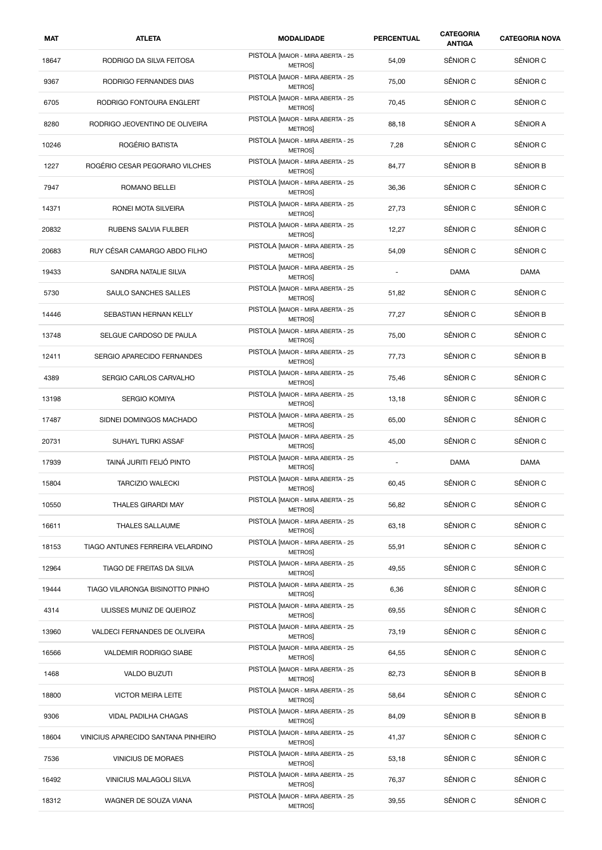| MAT   | <b>ATLETA</b>                       | <b>MODALIDADE</b>                                  | <b>PERCENTUAL</b>        | <b>CATEGORIA</b><br><b>ANTIGA</b> | <b>CATEGORIA NOVA</b> |
|-------|-------------------------------------|----------------------------------------------------|--------------------------|-----------------------------------|-----------------------|
| 18647 | RODRIGO DA SILVA FEITOSA            | PISTOLA [MAIOR - MIRA ABERTA - 25<br><b>METROS</b> | 54,09                    | SÊNIOR C                          | SÊNIOR C              |
| 9367  | RODRIGO FERNANDES DIAS              | PISTOLA [MAIOR - MIRA ABERTA - 25<br><b>METROS</b> | 75,00                    | SÊNIOR C                          | SÊNIOR C              |
| 6705  | RODRIGO FONTOURA ENGLERT            | PISTOLA [MAIOR - MIRA ABERTA - 25<br><b>METROS</b> | 70,45                    | SÊNIOR C                          | SÊNIOR C              |
| 8280  | RODRIGO JEOVENTINO DE OLIVEIRA      | PISTOLA [MAIOR - MIRA ABERTA - 25<br>METROS]       | 88,18                    | SÊNIOR A                          | SÊNIOR A              |
| 10246 | ROGÉRIO BATISTA                     | PISTOLA [MAIOR - MIRA ABERTA - 25<br><b>METROS</b> | 7,28                     | SÊNIOR C                          | SÊNIOR C              |
| 1227  | ROGÉRIO CESAR PEGORARO VILCHES      | PISTOLA [MAIOR - MIRA ABERTA - 25<br><b>METROS</b> | 84,77                    | SÊNIOR B                          | SÊNIOR B              |
| 7947  | ROMANO BELLEI                       | PISTOLA [MAIOR - MIRA ABERTA - 25<br>METROS]       | 36,36                    | SÊNIOR C                          | SÊNIOR C              |
| 14371 | RONEI MOTA SILVEIRA                 | PISTOLA [MAIOR - MIRA ABERTA - 25<br><b>METROS</b> | 27,73                    | SÊNIOR C                          | SÊNIOR C              |
| 20832 | RUBENS SALVIA FULBER                | PISTOLA [MAIOR - MIRA ABERTA - 25<br><b>METROS</b> | 12,27                    | SÊNIOR C                          | SÊNIOR C              |
| 20683 | RUY CÉSAR CAMARGO ABDO FILHO        | PISTOLA [MAIOR - MIRA ABERTA - 25<br><b>METROS</b> | 54,09                    | SÊNIOR C                          | SÊNIOR C              |
| 19433 | SANDRA NATALIE SILVA                | PISTOLA [MAIOR - MIRA ABERTA - 25<br>METROS]       | $\overline{a}$           | <b>DAMA</b>                       | <b>DAMA</b>           |
| 5730  | SAULO SANCHES SALLES                | PISTOLA [MAIOR - MIRA ABERTA - 25<br><b>METROS</b> | 51,82                    | SÊNIOR C                          | SÊNIOR C              |
| 14446 | SEBASTIAN HERNAN KELLY              | PISTOLA [MAIOR - MIRA ABERTA - 25<br><b>METROS</b> | 77,27                    | SÊNIOR C                          | SÊNIOR B              |
| 13748 | SELGUE CARDOSO DE PAULA             | PISTOLA [MAIOR - MIRA ABERTA - 25<br>METROS]       | 75,00                    | SÊNIOR C                          | SÊNIOR C              |
| 12411 | SERGIO APARECIDO FERNANDES          | PISTOLA [MAIOR - MIRA ABERTA - 25<br>METROS]       | 77,73                    | SÊNIOR C                          | SÊNIOR B              |
| 4389  | SERGIO CARLOS CARVALHO              | PISTOLA [MAIOR - MIRA ABERTA - 25<br><b>METROS</b> | 75,46                    | SÊNIOR C                          | SÊNIOR C              |
| 13198 | SERGIO KOMIYA                       | PISTOLA [MAIOR - MIRA ABERTA - 25<br><b>METROS</b> | 13,18                    | SÊNIOR C                          | SÊNIOR C              |
| 17487 | SIDNEI DOMINGOS MACHADO             | PISTOLA [MAIOR - MIRA ABERTA - 25<br><b>METROS</b> | 65,00                    | SÊNIOR C                          | SÊNIOR C              |
| 20731 | SUHAYL TURKI ASSAF                  | PISTOLA [MAIOR - MIRA ABERTA - 25<br>METROS]       | 45,00                    | SÊNIOR C                          | SÊNIOR C              |
| 17939 | TAINÁ JURITI FEIJÓ PINTO            | PISTOLA [MAIOR - MIRA ABERTA - 25<br><b>METROS</b> | $\overline{\phantom{a}}$ | <b>DAMA</b>                       | <b>DAMA</b>           |
| 15804 | <b>TARCIZIO WALECKI</b>             | PISTOLA [MAIOR - MIRA ABERTA - 25<br><b>METROS</b> | 60,45                    | SENIOR C                          | SÊNIOR C              |
| 10550 | THALES GIRARDI MAY                  | PISTOLA [MAIOR - MIRA ABERTA - 25<br>METROS]       | 56,82                    | SÊNIOR C                          | SÊNIOR C              |
| 16611 | THALES SALLAUME                     | PISTOLA [MAIOR - MIRA ABERTA - 25<br>METROS]       | 63,18                    | SÊNIOR C                          | SÊNIOR C              |
| 18153 | TIAGO ANTUNES FERREIRA VELARDINO    | PISTOLA [MAIOR - MIRA ABERTA - 25<br>METROS]       | 55,91                    | SÊNIOR C                          | SÊNIOR C              |
| 12964 | TIAGO DE FREITAS DA SILVA           | PISTOLA [MAIOR - MIRA ABERTA - 25<br><b>METROS</b> | 49,55                    | SÊNIOR C                          | SÊNIOR C              |
| 19444 | TIAGO VILARONGA BISINOTTO PINHO     | PISTOLA [MAIOR - MIRA ABERTA - 25<br>METROS]       | 6,36                     | SÊNIOR C                          | SÊNIOR C              |
| 4314  | ULISSES MUNIZ DE QUEIROZ            | PISTOLA [MAIOR - MIRA ABERTA - 25<br>METROS]       | 69,55                    | SÊNIOR C                          | SÊNIOR C              |
| 13960 | VALDECI FERNANDES DE OLIVEIRA       | PISTOLA [MAIOR - MIRA ABERTA - 25<br>METROS]       | 73,19                    | SÊNIOR C                          | SÊNIOR C              |
| 16566 | VALDEMIR RODRIGO SIABE              | PISTOLA [MAIOR - MIRA ABERTA - 25<br><b>METROS</b> | 64,55                    | SÊNIOR C                          | SÊNIOR C              |
| 1468  | <b>VALDO BUZUTI</b>                 | PISTOLA [MAIOR - MIRA ABERTA - 25<br>METROS]       | 82,73                    | SÊNIOR B                          | SÊNIOR B              |
| 18800 | <b>VICTOR MEIRA LEITE</b>           | PISTOLA [MAIOR - MIRA ABERTA - 25<br>METROS]       | 58,64                    | SÊNIOR C                          | SÊNIOR C              |
| 9306  | VIDAL PADILHA CHAGAS                | PISTOLA [MAIOR - MIRA ABERTA - 25<br>METROS]       | 84,09                    | SÊNIOR B                          | SÊNIOR B              |
| 18604 | VINICIUS APARECIDO SANTANA PINHEIRO | PISTOLA [MAIOR - MIRA ABERTA - 25<br>METROS]       | 41,37                    | SÊNIOR C                          | SÊNIOR C              |
| 7536  | VINICIUS DE MORAES                  | PISTOLA [MAIOR - MIRA ABERTA - 25<br>METROS]       | 53,18                    | SÊNIOR C                          | SÊNIOR C              |
| 16492 | VINICIUS MALAGOLI SILVA             | PISTOLA [MAIOR - MIRA ABERTA - 25<br>METROS]       | 76,37                    | SÊNIOR C                          | SÊNIOR C              |
| 18312 | WAGNER DE SOUZA VIANA               | PISTOLA [MAIOR - MIRA ABERTA - 25<br>METROS]       | 39,55                    | SÊNIOR C                          | SÊNIOR C              |
|       |                                     |                                                    |                          |                                   |                       |